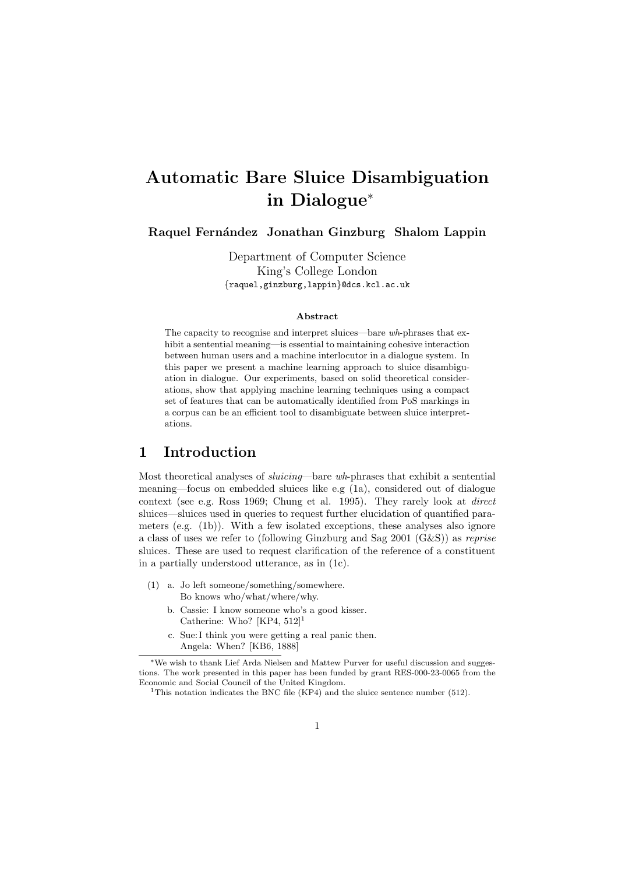# Automatic Bare Sluice Disambiguation in Dialogue<sup>∗</sup>

## Raquel Fernández Jonathan Ginzburg Shalom Lappin

Department of Computer Science King's College London {raquel,ginzburg,lappin}@dcs.kcl.ac.uk

#### Abstract

The capacity to recognise and interpret sluices—bare wh-phrases that exhibit a sentential meaning—is essential to maintaining cohesive interaction between human users and a machine interlocutor in a dialogue system. In this paper we present a machine learning approach to sluice disambiguation in dialogue. Our experiments, based on solid theoretical considerations, show that applying machine learning techniques using a compact set of features that can be automatically identified from PoS markings in a corpus can be an efficient tool to disambiguate between sluice interpretations.

# 1 Introduction

Most theoretical analyses of sluicing—bare wh-phrases that exhibit a sentential meaning—focus on embedded sluices like e.g (1a), considered out of dialogue context (see e.g. Ross 1969; Chung et al. 1995). They rarely look at direct sluices—sluices used in queries to request further elucidation of quantified parameters (e.g. (1b)). With a few isolated exceptions, these analyses also ignore a class of uses we refer to (following Ginzburg and Sag 2001 (G&S)) as reprise sluices. These are used to request clarification of the reference of a constituent in a partially understood utterance, as in (1c).

- (1) a. Jo left someone/something/somewhere. Bo knows who/what/where/why.
	- b. Cassie: I know someone who's a good kisser. Catherine: Who?  $[KP4, 512]$ <sup>1</sup>
	- c. Sue: I think you were getting a real panic then. Angela: When? [KB6, 1888]

<sup>∗</sup>We wish to thank Lief Arda Nielsen and Mattew Purver for useful discussion and suggestions. The work presented in this paper has been funded by grant RES-000-23-0065 from the Economic and Social Council of the United Kingdom.

<sup>&</sup>lt;sup>1</sup>This notation indicates the BNC file (KP4) and the sluice sentence number (512).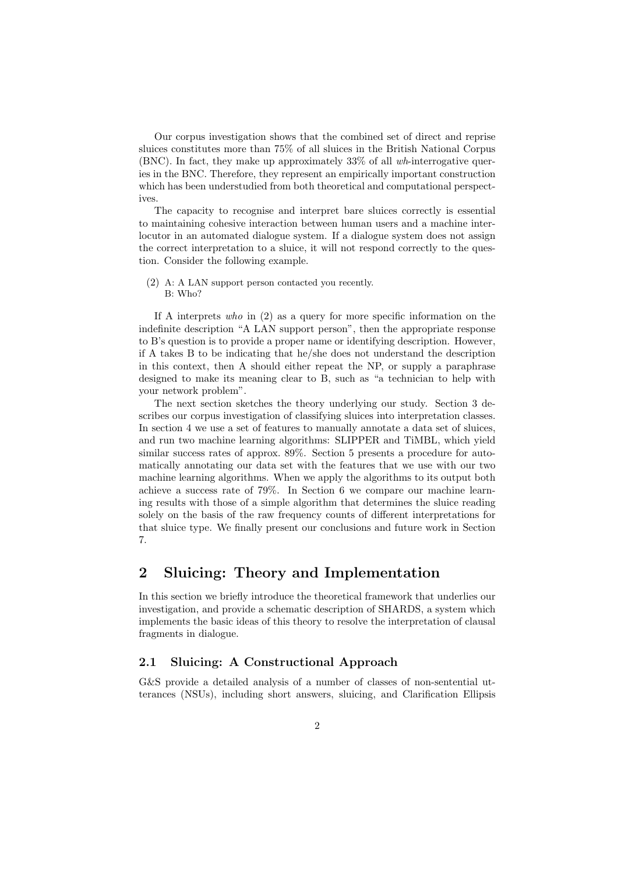Our corpus investigation shows that the combined set of direct and reprise sluices constitutes more than 75% of all sluices in the British National Corpus (BNC). In fact, they make up approximately 33% of all  $wh$ -interrogative queries in the BNC. Therefore, they represent an empirically important construction which has been understudied from both theoretical and computational perspectives.

The capacity to recognise and interpret bare sluices correctly is essential to maintaining cohesive interaction between human users and a machine interlocutor in an automated dialogue system. If a dialogue system does not assign the correct interpretation to a sluice, it will not respond correctly to the question. Consider the following example.

(2) A: A LAN support person contacted you recently. B: Who?

If A interprets who in (2) as a query for more specific information on the indefinite description "A LAN support person", then the appropriate response to B's question is to provide a proper name or identifying description. However, if A takes B to be indicating that he/she does not understand the description in this context, then A should either repeat the NP, or supply a paraphrase designed to make its meaning clear to B, such as "a technician to help with your network problem".

The next section sketches the theory underlying our study. Section 3 describes our corpus investigation of classifying sluices into interpretation classes. In section 4 we use a set of features to manually annotate a data set of sluices, and run two machine learning algorithms: SLIPPER and TiMBL, which yield similar success rates of approx. 89%. Section 5 presents a procedure for automatically annotating our data set with the features that we use with our two machine learning algorithms. When we apply the algorithms to its output both achieve a success rate of 79%. In Section 6 we compare our machine learning results with those of a simple algorithm that determines the sluice reading solely on the basis of the raw frequency counts of different interpretations for that sluice type. We finally present our conclusions and future work in Section 7.

# 2 Sluicing: Theory and Implementation

In this section we briefly introduce the theoretical framework that underlies our investigation, and provide a schematic description of SHARDS, a system which implements the basic ideas of this theory to resolve the interpretation of clausal fragments in dialogue.

### 2.1 Sluicing: A Constructional Approach

G&S provide a detailed analysis of a number of classes of non-sentential utterances (NSUs), including short answers, sluicing, and Clarification Ellipsis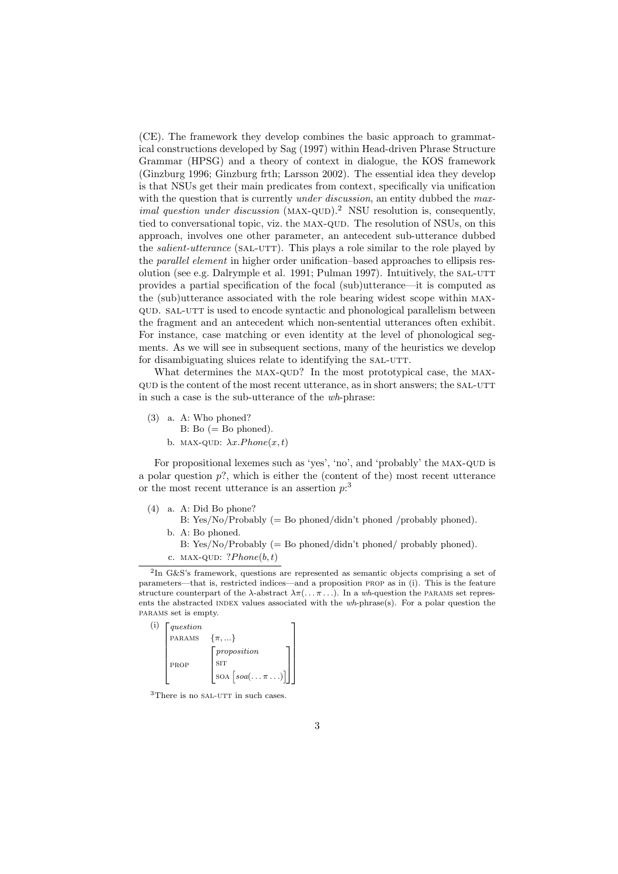(CE). The framework they develop combines the basic approach to grammatical constructions developed by Sag (1997) within Head-driven Phrase Structure Grammar (HPSG) and a theory of context in dialogue, the KOS framework (Ginzburg 1996; Ginzburg frth; Larsson 2002). The essential idea they develop is that NSUs get their main predicates from context, specifically via unification with the question that is currently *under discussion*, an entity dubbed the maximal question under discussion  $(MAX-QUD)^2$  NSU resolution is, consequently, tied to conversational topic, viz. the MAX-QUD. The resolution of NSUs, on this approach, involves one other parameter, an antecedent sub-utterance dubbed the *salient-utterance* (SAL-UTT). This plays a role similar to the role played by the parallel element in higher order unification–based approaches to ellipsis resolution (see e.g. Dalrymple et al. 1991; Pulman 1997). Intuitively, the SAL-UTT provides a partial specification of the focal (sub)utterance—it is computed as the (sub)utterance associated with the role bearing widest scope within maxqud. sal-utt is used to encode syntactic and phonological parallelism between the fragment and an antecedent which non-sentential utterances often exhibit. For instance, case matching or even identity at the level of phonological segments. As we will see in subsequent sections, many of the heuristics we develop for disambiguating sluices relate to identifying the SAL-UTT.

What determines the MAX-QUD? In the most prototypical case, the MAXqud is the content of the most recent utterance, as in short answers; the sal-utt in such a case is the sub-utterance of the wh-phrase:

(3) a. A: Who phoned?  $B: Bo (= Bo phoned).$ b. MAX-QUD:  $\lambda x. Phone(x, t)$ 

For propositional lexemes such as 'yes', 'no', and 'probably' the MAX-QUD is a polar question  $p$ ?, which is either the (content of the) most recent utterance or the most recent utterance is an assertion  $p$ <sup>3</sup>

- (4) a. A: Did Bo phone?
	- B: Yes/No/Probably  $(=$  Bo phoned/didn't phoned /probably phoned). b. A: Bo phoned.
		- B: Yes/No/Probably  $(=$  Bo phoned/didn't phoned/ probably phoned). c. MAX-QUD:  $?Phone(b, t)$

<sup>2</sup> In G&S's framework, questions are represented as semantic objects comprising a set of parameters—that is, restricted indices—and a proposition prop as in (i). This is the feature structure counterpart of the  $\lambda$ -abstract  $\lambda \pi$ (...,  $\pi$ ...). In a wh-question the PARAMS set represents the abstracted INDEX values associated with the wh-phrase(s). For a polar question the params set is empty.

| (i) | question |                                                                                  |  |
|-----|----------|----------------------------------------------------------------------------------|--|
|     | PARAMS   | $\{\pi, \}$                                                                      |  |
|     | PROP     | proposition<br><b>SIT</b><br>$\vert$ SOA $\vert$ soa $(\ldots \pi \ldots) \vert$ |  |

 $3$ There is no SAL-UTT in such cases.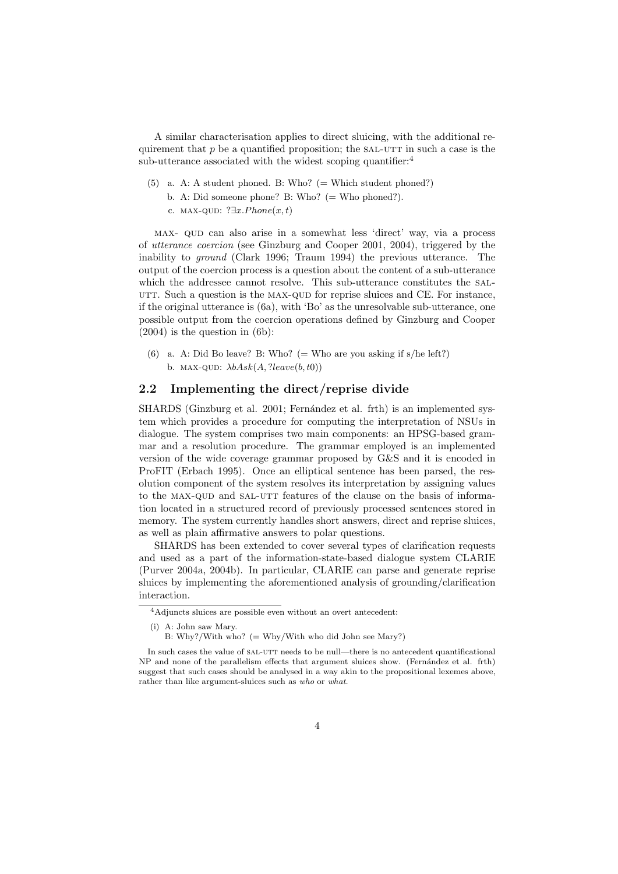A similar characterisation applies to direct sluicing, with the additional requirement that  $p$  be a quantified proposition; the SAL-UTT in such a case is the sub-utterance associated with the widest scoping quantifier:<sup>4</sup>

 $(5)$  a. A: A student phoned. B: Who? (= Which student phoned?) b. A: Did someone phone? B: Who? (= Who phoned?). c. MAX-QUD:  $?∃x.Phone(x, t)$ 

max- qud can also arise in a somewhat less 'direct' way, via a process of utterance coercion (see Ginzburg and Cooper 2001, 2004), triggered by the inability to ground (Clark 1996; Traum 1994) the previous utterance. The output of the coercion process is a question about the content of a sub-utterance which the addressee cannot resolve. This sub-utterance constitutes the sal-UTT. Such a question is the MAX-QUD for reprise sluices and CE. For instance, if the original utterance is (6a), with 'Bo' as the unresolvable sub-utterance, one possible output from the coercion operations defined by Ginzburg and Cooper  $(2004)$  is the question in  $(6b)$ :

(6) a. A: Did Bo leave? B: Who? (= Who are you asking if  $s/he$  left?) b. MAX-QUD:  $\lambda bAsk(A,?leave(b,t0))$ 

#### 2.2 Implementing the direct/reprise divide

SHARDS (Ginzburg et al. 2001; Fernández et al. frth) is an implemented system which provides a procedure for computing the interpretation of NSUs in dialogue. The system comprises two main components: an HPSG-based grammar and a resolution procedure. The grammar employed is an implemented version of the wide coverage grammar proposed by G&S and it is encoded in ProFIT (Erbach 1995). Once an elliptical sentence has been parsed, the resolution component of the system resolves its interpretation by assigning values to the MAX-QUD and SAL-UTT features of the clause on the basis of information located in a structured record of previously processed sentences stored in memory. The system currently handles short answers, direct and reprise sluices, as well as plain affirmative answers to polar questions.

SHARDS has been extended to cover several types of clarification requests and used as a part of the information-state-based dialogue system CLARIE (Purver 2004a, 2004b). In particular, CLARIE can parse and generate reprise sluices by implementing the aforementioned analysis of grounding/clarification interaction.

<sup>4</sup>Adjuncts sluices are possible even without an overt antecedent:

<sup>(</sup>i) A: John saw Mary.

B: Why?/With who?  $(= Why/With$  who did John see Mary?)

In such cases the value of SAL-UTT needs to be null—there is no antecedent quantificational NP and none of the parallelism effects that argument sluices show. (Fernández et al. frth) suggest that such cases should be analysed in a way akin to the propositional lexemes above, rather than like argument-sluices such as who or what.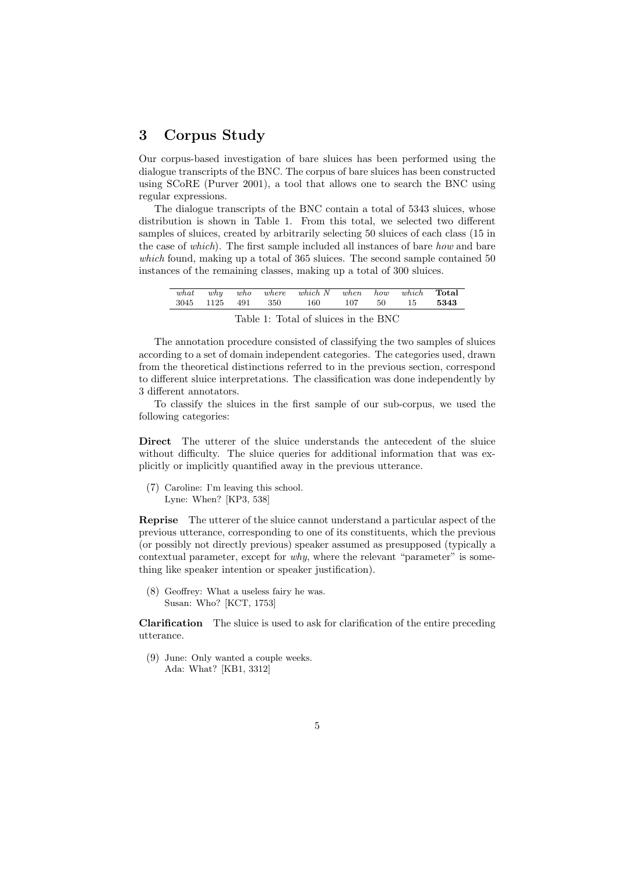# 3 Corpus Study

Our corpus-based investigation of bare sluices has been performed using the dialogue transcripts of the BNC. The corpus of bare sluices has been constructed using SCoRE (Purver 2001), a tool that allows one to search the BNC using regular expressions.

The dialogue transcripts of the BNC contain a total of 5343 sluices, whose distribution is shown in Table 1. From this total, we selected two different samples of sluices, created by arbitrarily selecting 50 sluices of each class (15 in the case of which). The first sample included all instances of bare how and bare which found, making up a total of 365 sluices. The second sample contained 50 instances of the remaining classes, making up a total of 300 sluices.

| what | why | who<br>3045 1125 491 350 | where which $N$ when how<br>160           | 107           | -50    | which<br>15 | $\rm Total$<br>5343 |
|------|-----|--------------------------|-------------------------------------------|---------------|--------|-------------|---------------------|
|      |     | $-1$                     | $\sim$ $\sim$ $\sim$ $\sim$ $\sim$ $\sim$ | $\sim$ $\sim$ | $   -$ |             |                     |

Table 1: Total of sluices in the BNC

The annotation procedure consisted of classifying the two samples of sluices according to a set of domain independent categories. The categories used, drawn from the theoretical distinctions referred to in the previous section, correspond to different sluice interpretations. The classification was done independently by 3 different annotators.

To classify the sluices in the first sample of our sub-corpus, we used the following categories:

Direct The utterer of the sluice understands the antecedent of the sluice without difficulty. The sluice queries for additional information that was explicitly or implicitly quantified away in the previous utterance.

(7) Caroline: I'm leaving this school. Lyne: When? [KP3, 538]

Reprise The utterer of the sluice cannot understand a particular aspect of the previous utterance, corresponding to one of its constituents, which the previous (or possibly not directly previous) speaker assumed as presupposed (typically a contextual parameter, except for why, where the relevant "parameter" is something like speaker intention or speaker justification).

(8) Geoffrey: What a useless fairy he was. Susan: Who? [KCT, 1753]

Clarification The sluice is used to ask for clarification of the entire preceding utterance.

(9) June: Only wanted a couple weeks. Ada: What? [KB1, 3312]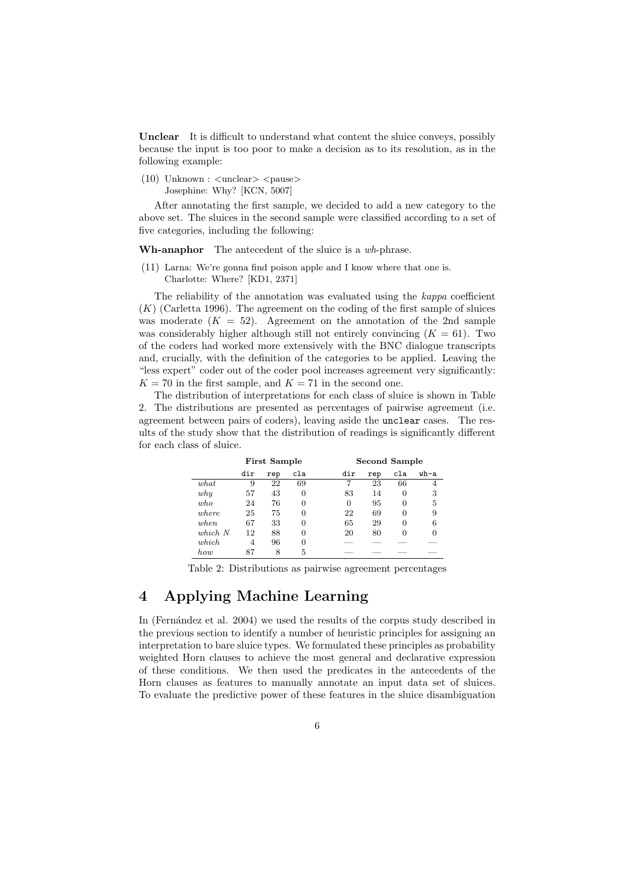Unclear It is difficult to understand what content the sluice conveys, possibly because the input is too poor to make a decision as to its resolution, as in the following example:

 $(10)$  Unknown :  $\langle$ unclear $\rangle$   $\langle$ pause $\rangle$ Josephine: Why? [KCN, 5007]

After annotating the first sample, we decided to add a new category to the above set. The sluices in the second sample were classified according to a set of five categories, including the following:

Wh-anaphor The antecedent of the sluice is a wh-phrase.

(11) Larna: We're gonna find poison apple and I know where that one is. Charlotte: Where? [KD1, 2371]

The reliability of the annotation was evaluated using the kappa coefficient  $(K)$  (Carletta 1996). The agreement on the coding of the first sample of sluices was moderate  $(K = 52)$ . Agreement on the annotation of the 2nd sample was considerably higher although still not entirely convincing  $(K = 61)$ . Two of the coders had worked more extensively with the BNC dialogue transcripts and, crucially, with the definition of the categories to be applied. Leaving the "less expert" coder out of the coder pool increases agreement very significantly:  $K = 70$  in the first sample, and  $K = 71$  in the second one.

The distribution of interpretations for each class of sluice is shown in Table 2. The distributions are presented as percentages of pairwise agreement (i.e. agreement between pairs of coders), leaving aside the unclear cases. The results of the study show that the distribution of readings is significantly different for each class of sluice.

|            | <b>First Sample</b> |     |          |          | Second Sample |     |      |
|------------|---------------------|-----|----------|----------|---------------|-----|------|
|            | dir                 | rep | cla      | dir      | rep           | cla | wh-a |
| what       | 9                   | 22  | 69       |          | 23            | 66  | 4    |
| why        | 57                  | 43  | $\Omega$ | 83       | 14            | 0   | 3    |
| who        | 24                  | 76  | 0        | $\Omega$ | 95            | 0   | 5    |
| where      | 25                  | 75  | 0        | 22       | 69            | 0   | 9    |
| when       | 67                  | 33  | 0        | 65       | 29            | 0   | 6    |
| $which\;N$ | 12                  | 88  | 0        | 20       | 80            | 0   | 0    |
| which      | 4                   | 96  | 0        |          |               |     |      |
| how        | 87                  | 8   | 5        |          |               |     |      |

Table 2: Distributions as pairwise agreement percentages

# 4 Applying Machine Learning

In (Fernández et al. 2004) we used the results of the corpus study described in the previous section to identify a number of heuristic principles for assigning an interpretation to bare sluice types. We formulated these principles as probability weighted Horn clauses to achieve the most general and declarative expression of these conditions. We then used the predicates in the antecedents of the Horn clauses as features to manually annotate an input data set of sluices. To evaluate the predictive power of these features in the sluice disambiguation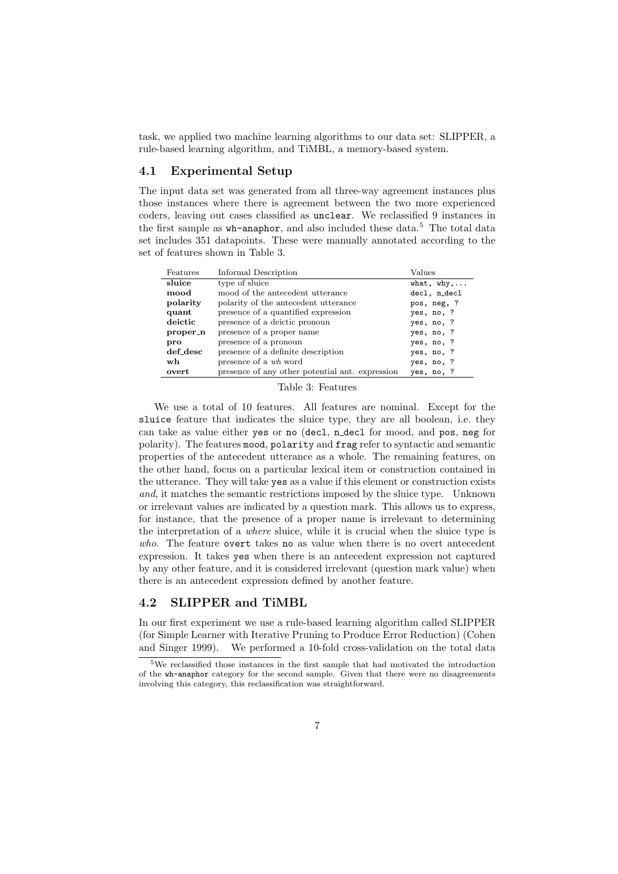task, we applied two machine learning algorithms to our data set: SLIPPER, a rule-based learning algorithm, and TiMBL, a memory-based system.

## 4.1 Experimental Setup

The input data set was generated from all three-way agreement instances plus those instances where there is agreement between the two more experienced coders, leaving out cases classified as unclear. We reclassified 9 instances in the first sample as  $wh$ -anaphor, and also included these data.<sup>5</sup> The total data set includes 351 datapoints. These were manually annotated according to the set of features shown in Table 3.

| Features | Informal Description                            | $\rm Values$        |
|----------|-------------------------------------------------|---------------------|
| sluice   | type of sluice                                  | what, $why, \ldots$ |
| mood     | mood of the antecedent utterance                | decl, n decl        |
| polarity | polarity of the antecedent utterance            | pos, neg, ?         |
| quant    | presence of a quantified expression             | yes, no, ?          |
| deictic  | presence of a deictic pronoun                   | yes, no, ?          |
| proper_n | presence of a proper name                       | yes, no, ?          |
| pro      | presence of a pronoun                           | yes, no, ?          |
| def_desc | presence of a definite description              | yes, no, ?          |
| wh       | presence of a wh word                           | yes, no, ?          |
| overt    | presence of any other potential ant. expression | yes, no, ?          |

#### Table 3: Features

We use a total of 10 features. All features are nominal. Except for the sluice feature that indicates the sluice type, they are all boolean, i.e. they can take as value either yes or no (decl, n decl for mood, and pos, neg for polarity). The features mood, polarity and frag refer to syntactic and semantic properties of the antecedent utterance as a whole. The remaining features, on the other hand, focus on a particular lexical item or construction contained in the utterance. They will take yes as a value if this element or construction exists and, it matches the semantic restrictions imposed by the sluice type. Unknown or irrelevant values are indicated by a question mark. This allows us to express, for instance, that the presence of a proper name is irrelevant to determining the interpretation of a where sluice, while it is crucial when the sluice type is who. The feature overt takes no as value when there is no overt antecedent expression. It takes yes when there is an antecedent expression not captured by any other feature, and it is considered irrelevant (question mark value) when there is an antecedent expression defined by another feature.

#### 4.2 SLIPPER and TiMBL

In our first experiment we use a rule-based learning algorithm called SLIPPER (for Simple Learner with Iterative Pruning to Produce Error Reduction) (Cohen and Singer 1999). We performed a 10-fold cross-validation on the total data

<sup>5</sup>We reclassified those instances in the first sample that had motivated the introduction of the wh-anaphor category for the second sample. Given that there were no disagreements involving this category, this reclassification was straightforward.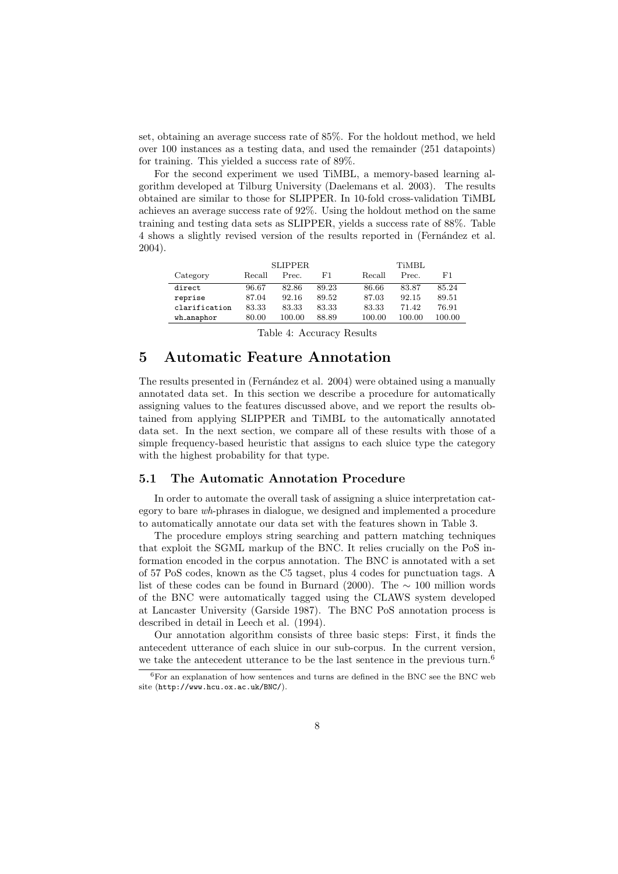set, obtaining an average success rate of 85%. For the holdout method, we held over 100 instances as a testing data, and used the remainder (251 datapoints) for training. This yielded a success rate of 89%.

For the second experiment we used TiMBL, a memory-based learning algorithm developed at Tilburg University (Daelemans et al. 2003). The results obtained are similar to those for SLIPPER. In 10-fold cross-validation TiMBL achieves an average success rate of 92%. Using the holdout method on the same training and testing data sets as SLIPPER, yields a success rate of 88%. Table 4 shows a slightly revised version of the results reported in (Fernandez et al. 2004).

|               | <b>SLIPPER</b> |        |       | <b>TiMBL</b> |        |        |
|---------------|----------------|--------|-------|--------------|--------|--------|
| Category      | Recall         | Prec.  | F1    | Recall       | Prec.  | F1     |
| direct        | 96.67          | 82.86  | 89.23 | 86.66        | 83.87  | 85.24  |
| reprise       | 87.04          | 92.16  | 89.52 | 87.03        | 92.15  | 89.51  |
| clarification | 83.33          | 83.33  | 83.33 | 83.33        | 71.42  | 76.91  |
| wh anaphor    | 80.00          | 100.00 | 88.89 | 100.00       | 100.00 | 100.00 |

Table 4: Accuracy Results

# 5 Automatic Feature Annotation

The results presented in (Fernández et al. 2004) were obtained using a manually annotated data set. In this section we describe a procedure for automatically assigning values to the features discussed above, and we report the results obtained from applying SLIPPER and TiMBL to the automatically annotated data set. In the next section, we compare all of these results with those of a simple frequency-based heuristic that assigns to each sluice type the category with the highest probability for that type.

#### 5.1 The Automatic Annotation Procedure

In order to automate the overall task of assigning a sluice interpretation category to bare wh-phrases in dialogue, we designed and implemented a procedure to automatically annotate our data set with the features shown in Table 3.

The procedure employs string searching and pattern matching techniques that exploit the SGML markup of the BNC. It relies crucially on the PoS information encoded in the corpus annotation. The BNC is annotated with a set of 57 PoS codes, known as the C5 tagset, plus 4 codes for punctuation tags. A list of these codes can be found in Burnard (2000). The  $\sim$  100 million words of the BNC were automatically tagged using the CLAWS system developed at Lancaster University (Garside 1987). The BNC PoS annotation process is described in detail in Leech et al. (1994).

Our annotation algorithm consists of three basic steps: First, it finds the antecedent utterance of each sluice in our sub-corpus. In the current version, we take the antecedent utterance to be the last sentence in the previous turn.<sup>6</sup>

 $6$ For an explanation of how sentences and turns are defined in the BNC see the BNC web site (http://www.hcu.ox.ac.uk/BNC/).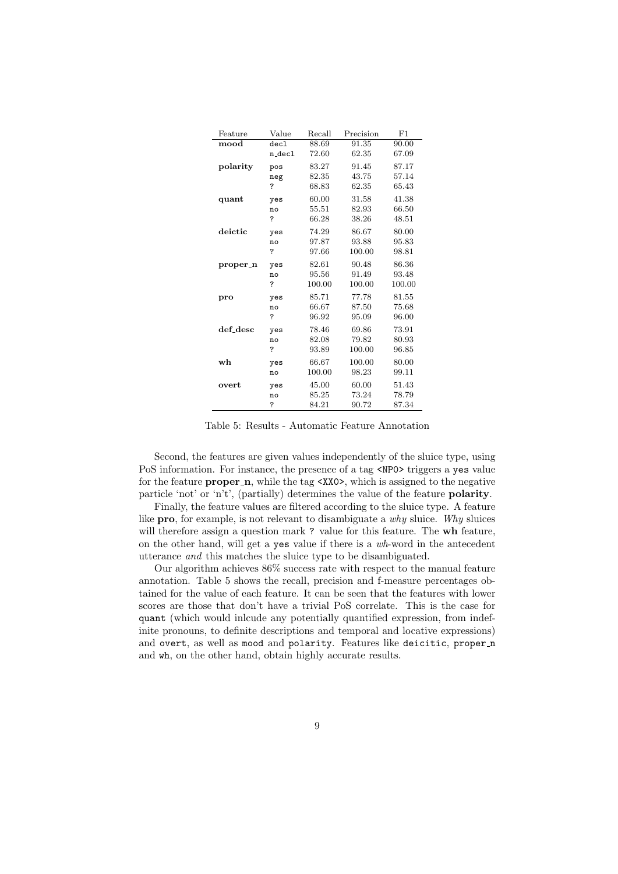| Feature  | Value  | Recall | Precision | F1     |
|----------|--------|--------|-----------|--------|
| mood     | dec1   | 88.69  | 91.35     | 90.00  |
|          | n_decl | 72.60  | 62.35     | 67.09  |
| polarity | pos    | 83.27  | 91.45     | 87.17  |
|          | neg    | 82.35  | 43.75     | 57.14  |
|          | ?      | 68.83  | 62.35     | 65.43  |
| quant    | yes    | 60.00  | 31.58     | 41.38  |
|          | no     | 55.51  | 82.93     | 66.50  |
|          | ?      | 66.28  | 38.26     | 48.51  |
| deictic  | yes    | 74.29  | 86.67     | 80.00  |
|          | no     | 97.87  | 93.88     | 95.83  |
|          | ?      | 97.66  | 100.00    | 98.81  |
| proper n | yes    | 82.61  | 90.48     | 86.36  |
|          | no     | 95.56  | 91.49     | 93.48  |
|          | ?      | 100.00 | 100.00    | 100.00 |
| pro      | yes    | 85.71  | 77.78     | 81.55  |
|          | no     | 66.67  | 87.50     | 75.68  |
|          | ?      | 96.92  | 95.09     | 96.00  |
| def_desc | yes    | 78.46  | 69.86     | 73.91  |
|          | no     | 82.08  | 79.82     | 80.93  |
|          | ?      | 93.89  | 100.00    | 96.85  |
| wh       | yes    | 66.67  | 100.00    | 80.00  |
|          | no     | 100.00 | 98.23     | 99.11  |
| overt    | yes    | 45.00  | 60.00     | 51.43  |
|          | no     | 85.25  | 73.24     | 78.79  |
|          | ?      | 84.21  | 90.72     | 87.34  |

Table 5: Results - Automatic Feature Annotation

Second, the features are given values independently of the sluice type, using PoS information. For instance, the presence of a tag <NP0> triggers a yes value for the feature **proper\_n**, while the tag <XX0>, which is assigned to the negative particle 'not' or 'n't', (partially) determines the value of the feature polarity.

Finally, the feature values are filtered according to the sluice type. A feature like **pro**, for example, is not relevant to disambiguate a why sluice. Why sluices will therefore assign a question mark ? value for this feature. The wh feature, on the other hand, will get a yes value if there is a wh-word in the antecedent utterance and this matches the sluice type to be disambiguated.

Our algorithm achieves 86% success rate with respect to the manual feature annotation. Table 5 shows the recall, precision and f-measure percentages obtained for the value of each feature. It can be seen that the features with lower scores are those that don't have a trivial PoS correlate. This is the case for quant (which would inlcude any potentially quantified expression, from indefinite pronouns, to definite descriptions and temporal and locative expressions) and overt, as well as mood and polarity. Features like deicitic, proper\_n and wh, on the other hand, obtain highly accurate results.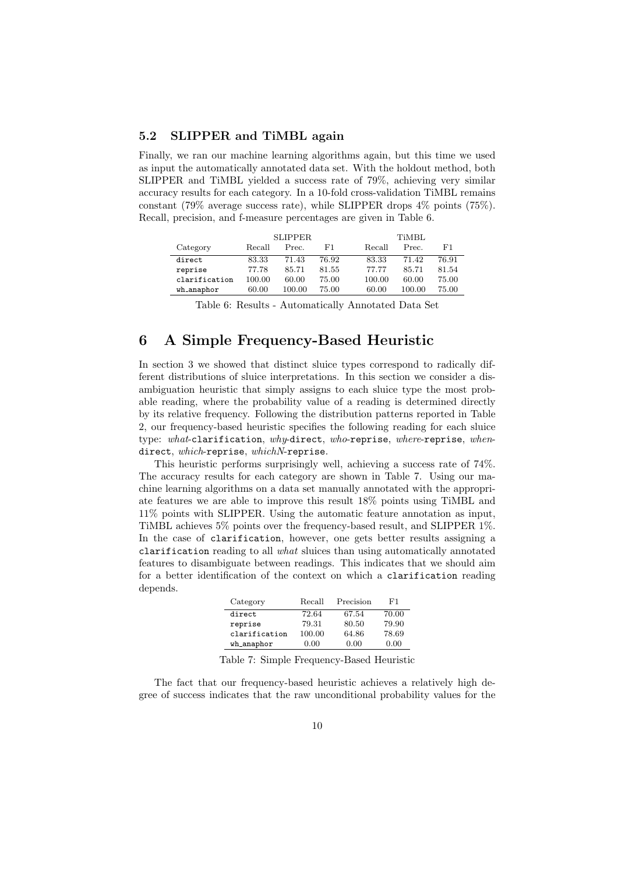## 5.2 SLIPPER and TiMBL again

Finally, we ran our machine learning algorithms again, but this time we used as input the automatically annotated data set. With the holdout method, both SLIPPER and TiMBL yielded a success rate of 79%, achieving very similar accuracy results for each category. In a 10-fold cross-validation TiMBL remains constant (79% average success rate), while SLIPPER drops 4% points (75%). Recall, precision, and f-measure percentages are given in Table 6.

|               | <b>SLIPPER</b> |        |       |        | <b>TiMBL</b> |       |  |
|---------------|----------------|--------|-------|--------|--------------|-------|--|
| Category      | Recall         | Prec.  | F1    | Recall | Prec.        | F1    |  |
| direct        | 83.33          | 71.43  | 76.92 | 83.33  | 71.42        | 76.91 |  |
| reprise       | 77.78          | 85.71  | 81.55 | 77.77  | 85.71        | 81.54 |  |
| clarification | 100.00         | 60.00  | 75.00 | 100.00 | 60.00        | 75.00 |  |
| wh anaphor    | 60.00          | 100.00 | 75.00 | 60.00  | 100.00       | 75.00 |  |

Table 6: Results - Automatically Annotated Data Set

# 6 A Simple Frequency-Based Heuristic

In section 3 we showed that distinct sluice types correspond to radically different distributions of sluice interpretations. In this section we consider a disambiguation heuristic that simply assigns to each sluice type the most probable reading, where the probability value of a reading is determined directly by its relative frequency. Following the distribution patterns reported in Table 2, our frequency-based heuristic specifies the following reading for each sluice type: what-clarification, why-direct, who-reprise, where-reprise, whendirect, which-reprise, whichN-reprise.

This heuristic performs surprisingly well, achieving a success rate of 74%. The accuracy results for each category are shown in Table 7. Using our machine learning algorithms on a data set manually annotated with the appropriate features we are able to improve this result 18% points using TiMBL and 11% points with SLIPPER. Using the automatic feature annotation as input, TiMBL achieves 5% points over the frequency-based result, and SLIPPER 1%. In the case of clarification, however, one gets better results assigning a clarification reading to all what sluices than using automatically annotated features to disambiguate between readings. This indicates that we should aim for a better identification of the context on which a clarification reading depends.

| Category      | Recall | Precision | F1    |
|---------------|--------|-----------|-------|
| direct        | 72.64  | 67.54     | 70.00 |
| reprise       | 79.31  | 80.50     | 79.90 |
| clarification | 100.00 | 64.86     | 78.69 |
| wh anaphor    | 0.00   | 0.00      | 0.00  |

Table 7: Simple Frequency-Based Heuristic

The fact that our frequency-based heuristic achieves a relatively high degree of success indicates that the raw unconditional probability values for the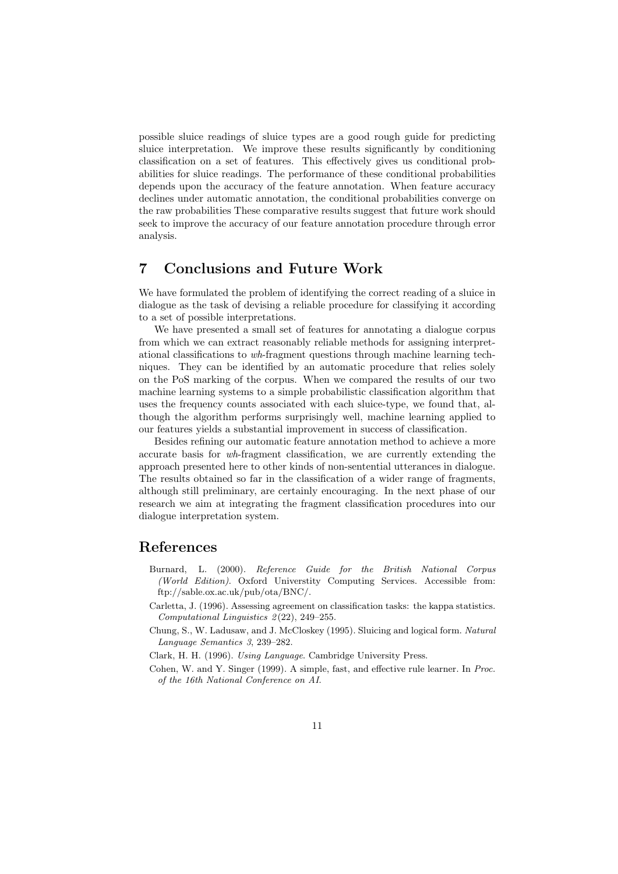possible sluice readings of sluice types are a good rough guide for predicting sluice interpretation. We improve these results significantly by conditioning classification on a set of features. This effectively gives us conditional probabilities for sluice readings. The performance of these conditional probabilities depends upon the accuracy of the feature annotation. When feature accuracy declines under automatic annotation, the conditional probabilities converge on the raw probabilities These comparative results suggest that future work should seek to improve the accuracy of our feature annotation procedure through error analysis.

# 7 Conclusions and Future Work

We have formulated the problem of identifying the correct reading of a sluice in dialogue as the task of devising a reliable procedure for classifying it according to a set of possible interpretations.

We have presented a small set of features for annotating a dialogue corpus from which we can extract reasonably reliable methods for assigning interpretational classifications to wh-fragment questions through machine learning techniques. They can be identified by an automatic procedure that relies solely on the PoS marking of the corpus. When we compared the results of our two machine learning systems to a simple probabilistic classification algorithm that uses the frequency counts associated with each sluice-type, we found that, although the algorithm performs surprisingly well, machine learning applied to our features yields a substantial improvement in success of classification.

Besides refining our automatic feature annotation method to achieve a more accurate basis for wh-fragment classification, we are currently extending the approach presented here to other kinds of non-sentential utterances in dialogue. The results obtained so far in the classification of a wider range of fragments, although still preliminary, are certainly encouraging. In the next phase of our research we aim at integrating the fragment classification procedures into our dialogue interpretation system.

# References

- Burnard, L. (2000). Reference Guide for the British National Corpus (World Edition). Oxford Universtity Computing Services. Accessible from: ftp://sable.ox.ac.uk/pub/ota/BNC/.
- Carletta, J. (1996). Assessing agreement on classification tasks: the kappa statistics. Computational Linguistics  $2(22)$ , 249-255.
- Chung, S., W. Ladusaw, and J. McCloskey (1995). Sluicing and logical form. Natural Language Semantics 3, 239–282.

Clark, H. H. (1996). Using Language. Cambridge University Press.

Cohen, W. and Y. Singer (1999). A simple, fast, and effective rule learner. In Proc. of the 16th National Conference on AI.